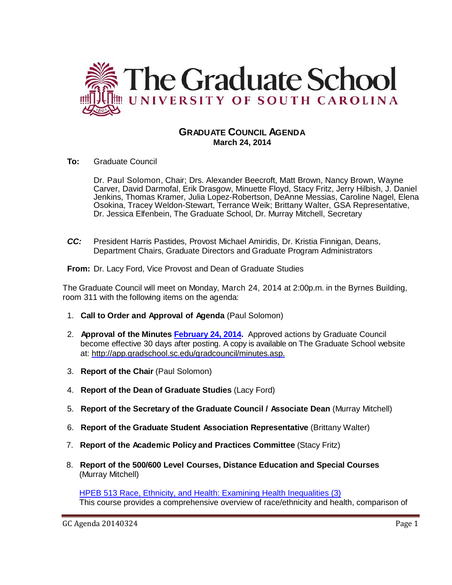

## **GRADUATE COUNCIL AGENDA March 24, 2014**

**To:** Graduate Council

Dr. Paul Solomon, Chair; Drs. Alexander Beecroft, Matt Brown, Nancy Brown, Wayne Carver, David Darmofal, Erik Drasgow, Minuette Floyd, Stacy Fritz, Jerry Hilbish, J. Daniel Jenkins, Thomas Kramer, Julia Lopez-Robertson, DeAnne Messias, Caroline Nagel, Elena Osokina, Tracey Weldon-Stewart, Terrance Weik; Brittany Walter, GSA Representative, Dr. Jessica Elfenbein, The Graduate School, Dr. Murray Mitchell, Secretary

*CC:* President Harris Pastides, Provost Michael Amiridis, Dr. Kristia Finnigan, Deans, Department Chairs, Graduate Directors and Graduate Program Administrators

**From:** Dr. Lacy Ford, Vice Provost and Dean of Graduate Studies

The Graduate Council will meet on Monday, March 24, 2014 at 2:00p.m. in the Byrnes Building, room 311 with the following items on the agenda:

- 1. **Call to Order and Approval of Agenda** (Paul Solomon)
- 2. **Approval of the Minutes [February 24,](http://gradschool.sc.edu/facstaff/gradcouncil/2013/GC%20Minutes%202%2024%2014%20MM.pdf) 2014.** Approved actions by Graduate Council become effective 30 days after posting. A copy is available on The Graduate School website at: [http://app.gradschool.sc.edu/gradcouncil/minutes.asp.](http://app.gradschool.sc.edu/gradcouncil/minutes.asp)
- 3. **Report of the Chair** (Paul Solomon)
- 4. **Report of the Dean of Graduate Studies** (Lacy Ford)
- 5. **Report of the Secretary of the Graduate Council / Associate Dean** (Murray Mitchell)
- 6. **Report of the Graduate Student Association Representative** (Brittany Walter)
- 7. **Report of the Academic Policy and Practices Committee** (Stacy Fritz)
- 8. **Report of the 500/600 Level Courses, Distance Education and Special Courses** (Murray Mitchell)

[HPEB 513 Race, Ethnicity, and Health: Examining Health Inequalities \(3\)](http://gradschool.sc.edu/facstaff/gradcouncil/2013/HPEB%20513_Redacted.pdf) This course provides a comprehensive overview of race/ethnicity and health, comparison of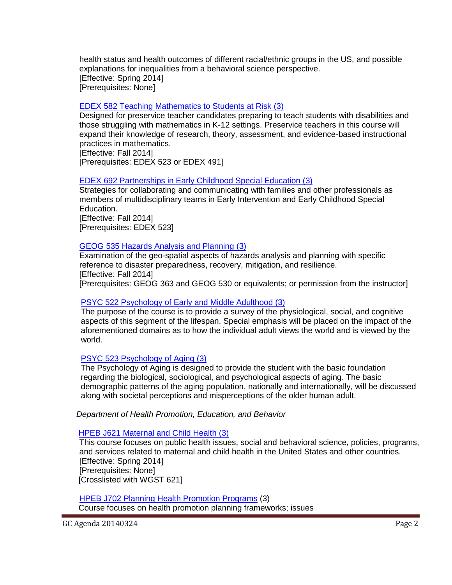health status and health outcomes of different racial/ethnic groups in the US, and possible explanations for inequalities from a behavioral science perspective. [Effective: Spring 2014] [Prerequisites: None]

### [EDEX 582 Teaching Mathematics to Students at Risk \(3\)](http://gradschool.sc.edu/facstaff/gradcouncil/2013/edex%20582_Redacted.pdf)

Designed for preservice teacher candidates preparing to teach students with disabilities and those struggling with mathematics in K-12 settings. Preservice teachers in this course will expand their knowledge of research, theory, assessment, and evidence-based instructional practices in mathematics. [Effective: Fall 2014] [Prerequisites: EDEX 523 or EDEX 491]

# [EDEX 692 Partnerships in Early Childhood Special Education \(3\)](http://gradschool.sc.edu/facstaff/gradcouncil/2013/EDEX%20692_Redacted.pdf)

Strategies for collaborating and communicating with families and other professionals as members of multidisciplinary teams in Early Intervention and Early Childhood Special Education. [Effective: Fall 2014] [Prerequisites: EDEX 523]

### [GEOG 535 Hazards Analysis and Planning \(3\)](http://gradschool.sc.edu/facstaff/gradcouncil/2013/geog%20535_Redacted.pdf)

Examination of the geo-spatial aspects of hazards analysis and planning with specific reference to disaster preparedness, recovery, mitigation, and resilience. [Effective: Fall 2014] [Prerequisites: GEOG 363 and GEOG 530 or equivalents; or permission from the instructor]

### [PSYC 522 Psychology of Early and Middle Adulthood \(3\)](http://gradschool.sc.edu/facstaff/gradcouncil/2013/PSYC%20522%20-%20DED.pdf)

 The purpose of the course is to provide a survey of the physiological, social, and cognitive aspects of this segment of the lifespan. Special emphasis will be placed on the impact of the aforementioned domains as to how the individual adult views the world and is viewed by the world.

#### [PSYC 523 Psychology of Aging \(3\)](http://gradschool.sc.edu/facstaff/gradcouncil/2013/PSYC%20523%20-%20DED.pdf)

The Psychology of Aging is designed to provide the student with the basic foundation regarding the biological, sociological, and psychological aspects of aging. The basic demographic patterns of the aging population, nationally and internationally, will be discussed along with societal perceptions and misperceptions of the older human adult.

 *Department of Health Promotion, Education, and Behavior*

HPEB J621 [Maternal and Child Health \(3\)](http://gradschool.sc.edu/facstaff/gradcouncil/2013/HPEB%20J621_Redacted.pdf)

This course focuses on public health issues, social and behavioral science, policies, programs, and services related to maternal and child health in the United States and other countries. [Effective: Spring 2014] [Prerequisites: None] [Crosslisted with WGST 621]

 [HPEB J702 Planning Health Promotion Programs](http://gradschool.sc.edu/facstaff/gradcouncil/2013/HPEB%20J702%20Planning%20HPPs_Redacted.pdf) (3) Course focuses on health promotion planning frameworks; issues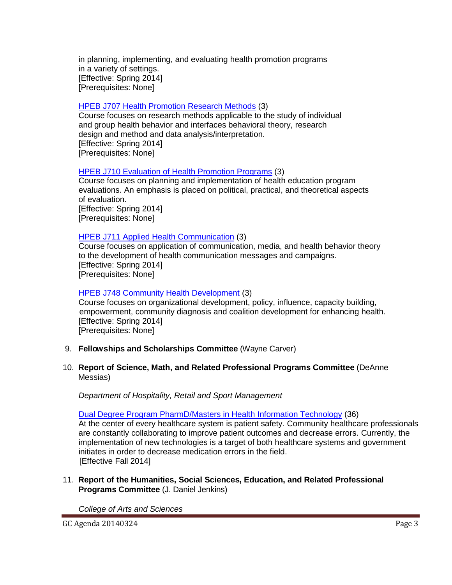in planning, implementing, and evaluating health promotion programs in a variety of settings. [Effective: Spring 2014] [Prerequisites: None]

#### [HPEB J707 Health Promotion Research Methods](http://gradschool.sc.edu/facstaff/gradcouncil/2013/HPEB%20J707%20Health%20Promotion%20Research%20Methods_Redacted.pdf) (3)

 Course focuses on research methods applicable to the study of individual and group health behavior and interfaces behavioral theory, research design and method and data analysis/interpretation. [Effective: Spring 2014] [Prerequisites: None]

#### [HPEB J710 Evaluation of Health Promotion Programs](http://gradschool.sc.edu/facstaff/gradcouncil/2013/HPEB%20J710%20Evaluation%20of%20Health%20Promotion%20Programs_Redacted.pdf) (3)

 Course focuses on planning and implementation of health education program evaluations. An emphasis is placed on political, practical, and theoretical aspects of evaluation.

 [Effective: Spring 2014] [Prerequisites: None]

#### [HPEB J711 Applied Health Communication](http://gradschool.sc.edu/facstaff/gradcouncil/2013/HPEB%20J711%20Applied%20Health%20Communication_Redacted.pdf) (3)

 Course focuses on application of communication, media, and health behavior theory to the development of health communication messages and campaigns. [Effective: Spring 2014] [Prerequisites: None]

#### [HPEB J748 Community Health Development](http://gradschool.sc.edu/facstaff/gradcouncil/2013/HPEB%20J748%20Community%20Health%20Development_Redacted.pdf) (3)

 Course focuses on organizational development, policy, influence, capacity building, empowerment, community diagnosis and coalition development for enhancing health. [Effective: Spring 2014] [Prerequisites: None]

9. **Fellowships and Scholarships Committee** (Wayne Carver)

### 10. **Report of Science, Math, and Related Professional Programs Committee** (DeAnne Messias)

*Department of Hospitality, Retail and Sport Management*

#### **[Dual Degree Program PharmD/Masters in Health Information Technology](http://gradschool.sc.edu/facstaff/gradcouncil/2013/APA%20Dual%20Degree%20Program%20PharmD-MHIT_Redacted.pdf) (36)**

 At the center of every healthcare system is patient safety. Community healthcare professionals are constantly collaborating to improve patient outcomes and decrease errors. Currently, the implementation of new technologies is a target of both healthcare systems and government initiates in order to decrease medication errors in the field. [Effective Fall 2014]

11. **Report of the Humanities, Social Sciences, Education, and Related Professional Programs Committee** (J. Daniel Jenkins)

*College of Arts and Sciences*